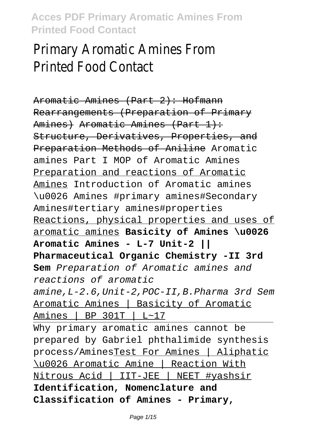# Primary Aromatic Amines From Printed Food Contact

Aromatic Amines (Part 2): Hofmann Rearrangements (Preparation of Primary Amines) Aromatic Amines (Part 1): Structure, Derivatives, Properties, and Preparation Methods of Aniline Aromatic amines Part I MOP of Aromatic Amines Preparation and reactions of Aromatic Amines Introduction of Aromatic amines \u0026 Amines #primary amines#Secondary Amines#tertiary amines#properties Reactions, physical properties and uses of aromatic amines **Basicity of Amines \u0026 Aromatic Amines - L-7 Unit-2 || Pharmaceutical Organic Chemistry -II 3rd Sem** Preparation of Aromatic amines and reactions of aromatic amine,L-2.6,Unit-2,POC-II,B.Pharma 3rd Sem Aromatic Amines | Basicity of Aromatic Amines | BP 301T | L~17 Why primary aromatic amines cannot be prepared by Gabriel phthalimide synthesis process/AminesTest For Amines | Aliphatic \u0026 Aromatic Amine | Reaction With Nitrous Acid | IIT-JEE | NEET #yashsir **Identification, Nomenclature and Classification of Amines - Primary,**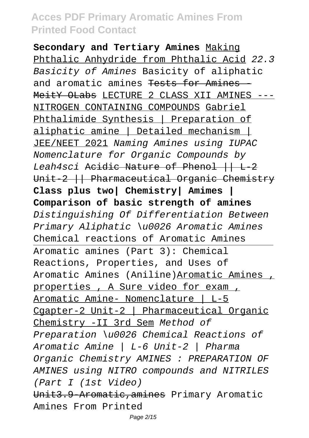**Secondary and Tertiary Amines** Making Phthalic Anhydride from Phthalic Acid 22.3 Basicity of Amines Basicity of aliphatic and aromatic amines <del>Tests for Amines</del> MeitY OLabs LECTURE 2 CLASS XII AMINES --- NITROGEN CONTAINING COMPOUNDS Gabriel Phthalimide Synthesis | Preparation of aliphatic amine | Detailed mechanism | JEE/NEET 2021 Naming Amines using IUPAC Nomenclature for Organic Compounds by Leah4sci Acidic Nature of Phenol  $|$  L 2 Unit 2 || Pharmaceutical Organic Chemistry **Class plus two| Chemistry| Amimes | Comparison of basic strength of amines** Distinguishing Of Differentiation Between Primary Aliphatic \u0026 Aromatic Amines Chemical reactions of Aromatic Amines Aromatic amines (Part 3): Chemical Reactions, Properties, and Uses of Aromatic Amines (Aniline)Aromatic Amines , properties , A Sure video for exam , Aromatic Amine- Nomenclature | L-5 Cgapter-2 Unit-2 | Pharmaceutical Organic Chemistry -II 3rd Sem Method of Preparation \u0026 Chemical Reactions of Aromatic Amine | L-6 Unit-2 | Pharma Organic Chemistry AMINES : PREPARATION OF AMINES using NITRO compounds and NITRILES (Part I (1st Video) Unit3.9 Aromatic, amines Primary Aromatic Amines From Printed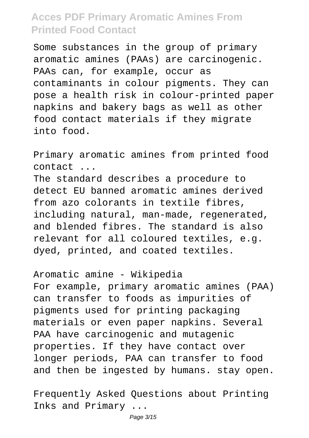Some substances in the group of primary aromatic amines (PAAs) are carcinogenic. PAAs can, for example, occur as contaminants in colour pigments. They can pose a health risk in colour-printed paper napkins and bakery bags as well as other food contact materials if they migrate into food.

Primary aromatic amines from printed food contact ...

The standard describes a procedure to detect EU banned aromatic amines derived from azo colorants in textile fibres, including natural, man-made, regenerated, and blended fibres. The standard is also relevant for all coloured textiles, e.g. dyed, printed, and coated textiles.

Aromatic amine - Wikipedia

For example, primary aromatic amines (PAA) can transfer to foods as impurities of pigments used for printing packaging materials or even paper napkins. Several PAA have carcinogenic and mutagenic properties. If they have contact over longer periods, PAA can transfer to food and then be ingested by humans. stay open.

Frequently Asked Questions about Printing Inks and Primary ...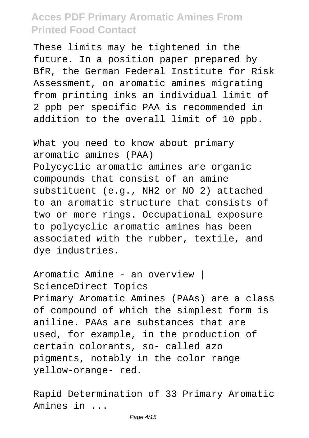These limits may be tightened in the future. In a position paper prepared by BfR, the German Federal Institute for Risk Assessment, on aromatic amines migrating from printing inks an individual limit of 2 ppb per specific PAA is recommended in addition to the overall limit of 10 ppb.

What you need to know about primary aromatic amines (PAA) Polycyclic aromatic amines are organic compounds that consist of an amine substituent (e.g., NH2 or NO 2) attached to an aromatic structure that consists of two or more rings. Occupational exposure to polycyclic aromatic amines has been associated with the rubber, textile, and dye industries.

Aromatic Amine - an overview | ScienceDirect Topics Primary Aromatic Amines (PAAs) are a class of compound of which the simplest form is aniline. PAAs are substances that are used, for example, in the production of certain colorants, so- called azo pigments, notably in the color range yellow-orange- red.

Rapid Determination of 33 Primary Aromatic Amines in ...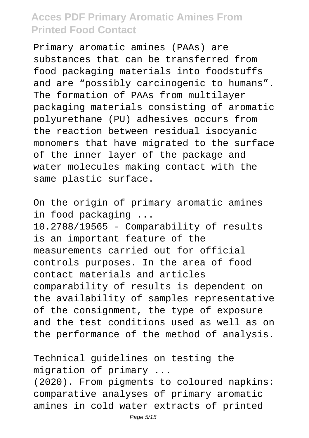Primary aromatic amines (PAAs) are substances that can be transferred from food packaging materials into foodstuffs and are "possibly carcinogenic to humans". The formation of PAAs from multilayer packaging materials consisting of aromatic polyurethane (PU) adhesives occurs from the reaction between residual isocyanic monomers that have migrated to the surface of the inner layer of the package and water molecules making contact with the same plastic surface.

On the origin of primary aromatic amines in food packaging ... 10.2788/19565 - Comparability of results is an important feature of the measurements carried out for official controls purposes. In the area of food contact materials and articles comparability of results is dependent on the availability of samples representative of the consignment, the type of exposure and the test conditions used as well as on the performance of the method of analysis.

Technical guidelines on testing the migration of primary ... (2020). From pigments to coloured napkins:

comparative analyses of primary aromatic amines in cold water extracts of printed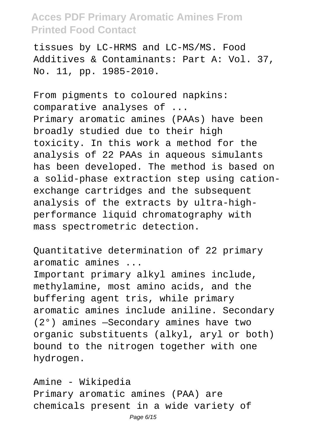tissues by LC-HRMS and LC-MS/MS. Food Additives & Contaminants: Part A: Vol. 37, No. 11, pp. 1985-2010.

From pigments to coloured napkins: comparative analyses of ... Primary aromatic amines (PAAs) have been broadly studied due to their high toxicity. In this work a method for the analysis of 22 PAAs in aqueous simulants has been developed. The method is based on a solid-phase extraction step using cationexchange cartridges and the subsequent analysis of the extracts by ultra-highperformance liquid chromatography with mass spectrometric detection.

Quantitative determination of 22 primary aromatic amines ...

Important primary alkyl amines include, methylamine, most amino acids, and the buffering agent tris, while primary aromatic amines include aniline. Secondary (2°) amines —Secondary amines have two organic substituents (alkyl, aryl or both) bound to the nitrogen together with one hydrogen.

Amine - Wikipedia Primary aromatic amines (PAA) are chemicals present in a wide variety of Page 6/15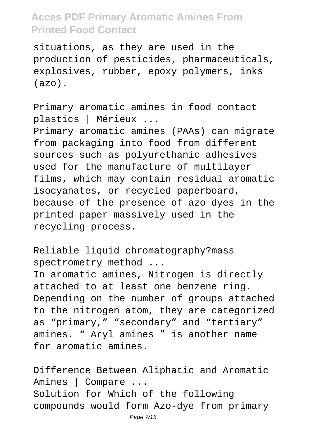situations, as they are used in the production of pesticides, pharmaceuticals, explosives, rubber, epoxy polymers, inks (azo).

Primary aromatic amines in food contact plastics | Mérieux ... Primary aromatic amines (PAAs) can migrate from packaging into food from different sources such as polyurethanic adhesives used for the manufacture of multilayer films, which may contain residual aromatic isocyanates, or recycled paperboard, because of the presence of azo dyes in the printed paper massively used in the recycling process.

Reliable liquid chromatography?mass spectrometry method ...

In aromatic amines, Nitrogen is directly attached to at least one benzene ring. Depending on the number of groups attached to the nitrogen atom, they are categorized as "primary," "secondary" and "tertiary" amines. " Aryl amines " is another name for aromatic amines.

Difference Between Aliphatic and Aromatic Amines | Compare ... Solution for Which of the following compounds would form Azo-dye from primary Page 7/15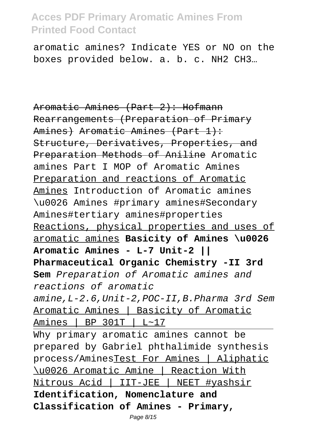aromatic amines? Indicate YES or NO on the boxes provided below. a. b. c. NH2 CH3…

Aromatic Amines (Part 2): Hofmann Rearrangements (Preparation of Primary Amines) Aromatic Amines (Part 1): Structure, Derivatives, Properties, and Preparation Methods of Aniline Aromatic amines Part I MOP of Aromatic Amines Preparation and reactions of Aromatic Amines Introduction of Aromatic amines \u0026 Amines #primary amines#Secondary Amines#tertiary amines#properties Reactions, physical properties and uses of aromatic amines **Basicity of Amines \u0026 Aromatic Amines - L-7 Unit-2 || Pharmaceutical Organic Chemistry -II 3rd Sem** Preparation of Aromatic amines and reactions of aromatic amine,L-2.6,Unit-2,POC-II,B.Pharma 3rd Sem Aromatic Amines | Basicity of Aromatic Amines | BP 301T | L~17 Why primary aromatic amines cannot be prepared by Gabriel phthalimide synthesis process/AminesTest For Amines | Aliphatic \u0026 Aromatic Amine | Reaction With Nitrous Acid | IIT-JEE | NEET #yashsir **Identification, Nomenclature and Classification of Amines - Primary,**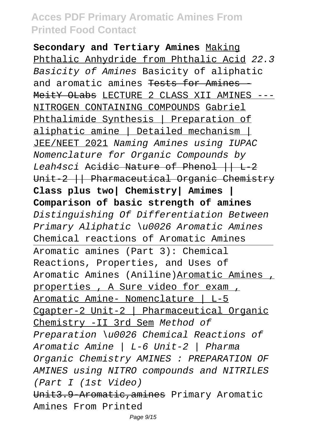**Secondary and Tertiary Amines** Making Phthalic Anhydride from Phthalic Acid 22.3 Basicity of Amines Basicity of aliphatic and aromatic amines <del>Tests for Amines</del> MeitY OLabs LECTURE 2 CLASS XII AMINES --- NITROGEN CONTAINING COMPOUNDS Gabriel Phthalimide Synthesis | Preparation of aliphatic amine | Detailed mechanism | JEE/NEET 2021 Naming Amines using IUPAC Nomenclature for Organic Compounds by Leah4sci Acidic Nature of Phenol  $|$  L 2 Unit 2 || Pharmaceutical Organic Chemistry **Class plus two| Chemistry| Amimes | Comparison of basic strength of amines** Distinguishing Of Differentiation Between Primary Aliphatic \u0026 Aromatic Amines Chemical reactions of Aromatic Amines Aromatic amines (Part 3): Chemical Reactions, Properties, and Uses of Aromatic Amines (Aniline)Aromatic Amines , properties , A Sure video for exam , Aromatic Amine- Nomenclature | L-5 Cgapter-2 Unit-2 | Pharmaceutical Organic Chemistry -II 3rd Sem Method of Preparation \u0026 Chemical Reactions of Aromatic Amine | L-6 Unit-2 | Pharma Organic Chemistry AMINES : PREPARATION OF AMINES using NITRO compounds and NITRILES (Part I (1st Video) Unit3.9 Aromatic, amines Primary Aromatic Amines From Printed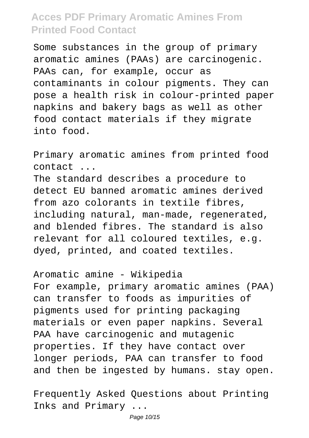Some substances in the group of primary aromatic amines (PAAs) are carcinogenic. PAAs can, for example, occur as contaminants in colour pigments. They can pose a health risk in colour-printed paper napkins and bakery bags as well as other food contact materials if they migrate into food.

Primary aromatic amines from printed food contact ...

The standard describes a procedure to detect EU banned aromatic amines derived from azo colorants in textile fibres, including natural, man-made, regenerated, and blended fibres. The standard is also relevant for all coloured textiles, e.g. dyed, printed, and coated textiles.

Aromatic amine - Wikipedia

For example, primary aromatic amines (PAA) can transfer to foods as impurities of pigments used for printing packaging materials or even paper napkins. Several PAA have carcinogenic and mutagenic properties. If they have contact over longer periods, PAA can transfer to food and then be ingested by humans. stay open.

Frequently Asked Questions about Printing Inks and Primary ...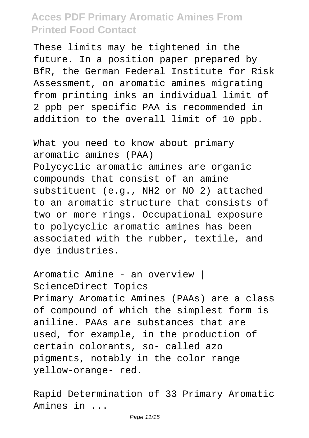These limits may be tightened in the future. In a position paper prepared by BfR, the German Federal Institute for Risk Assessment, on aromatic amines migrating from printing inks an individual limit of 2 ppb per specific PAA is recommended in addition to the overall limit of 10 ppb.

What you need to know about primary aromatic amines (PAA) Polycyclic aromatic amines are organic compounds that consist of an amine substituent (e.g., NH2 or NO 2) attached to an aromatic structure that consists of two or more rings. Occupational exposure to polycyclic aromatic amines has been associated with the rubber, textile, and dye industries.

Aromatic Amine - an overview | ScienceDirect Topics Primary Aromatic Amines (PAAs) are a class of compound of which the simplest form is aniline. PAAs are substances that are used, for example, in the production of certain colorants, so- called azo pigments, notably in the color range yellow-orange- red.

Rapid Determination of 33 Primary Aromatic Amines in ...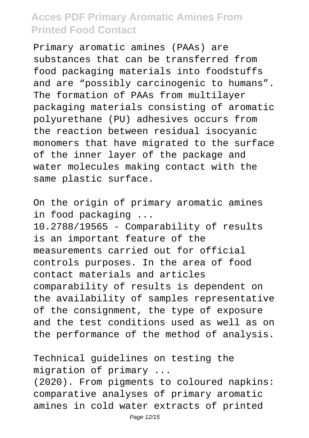Primary aromatic amines (PAAs) are substances that can be transferred from food packaging materials into foodstuffs and are "possibly carcinogenic to humans". The formation of PAAs from multilayer packaging materials consisting of aromatic polyurethane (PU) adhesives occurs from the reaction between residual isocyanic monomers that have migrated to the surface of the inner layer of the package and water molecules making contact with the same plastic surface.

On the origin of primary aromatic amines in food packaging ... 10.2788/19565 - Comparability of results is an important feature of the measurements carried out for official controls purposes. In the area of food contact materials and articles comparability of results is dependent on the availability of samples representative of the consignment, the type of exposure and the test conditions used as well as on the performance of the method of analysis.

Technical guidelines on testing the migration of primary ...

(2020). From pigments to coloured napkins: comparative analyses of primary aromatic amines in cold water extracts of printed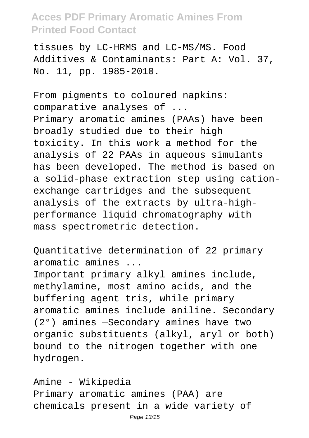tissues by LC-HRMS and LC-MS/MS. Food Additives & Contaminants: Part A: Vol. 37, No. 11, pp. 1985-2010.

From pigments to coloured napkins: comparative analyses of ... Primary aromatic amines (PAAs) have been broadly studied due to their high toxicity. In this work a method for the analysis of 22 PAAs in aqueous simulants has been developed. The method is based on a solid-phase extraction step using cationexchange cartridges and the subsequent analysis of the extracts by ultra-highperformance liquid chromatography with mass spectrometric detection.

Quantitative determination of 22 primary aromatic amines ...

Important primary alkyl amines include, methylamine, most amino acids, and the buffering agent tris, while primary aromatic amines include aniline. Secondary (2°) amines —Secondary amines have two organic substituents (alkyl, aryl or both) bound to the nitrogen together with one hydrogen.

Amine - Wikipedia Primary aromatic amines (PAA) are chemicals present in a wide variety of Page 13/15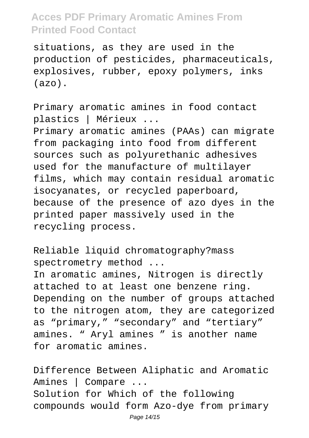situations, as they are used in the production of pesticides, pharmaceuticals, explosives, rubber, epoxy polymers, inks (azo).

Primary aromatic amines in food contact plastics | Mérieux ... Primary aromatic amines (PAAs) can migrate from packaging into food from different sources such as polyurethanic adhesives used for the manufacture of multilayer films, which may contain residual aromatic isocyanates, or recycled paperboard, because of the presence of azo dyes in the printed paper massively used in the recycling process.

Reliable liquid chromatography?mass spectrometry method ...

In aromatic amines, Nitrogen is directly attached to at least one benzene ring. Depending on the number of groups attached to the nitrogen atom, they are categorized as "primary," "secondary" and "tertiary" amines. " Aryl amines " is another name for aromatic amines.

Difference Between Aliphatic and Aromatic Amines | Compare ... Solution for Which of the following compounds would form Azo-dye from primary Page 14/15